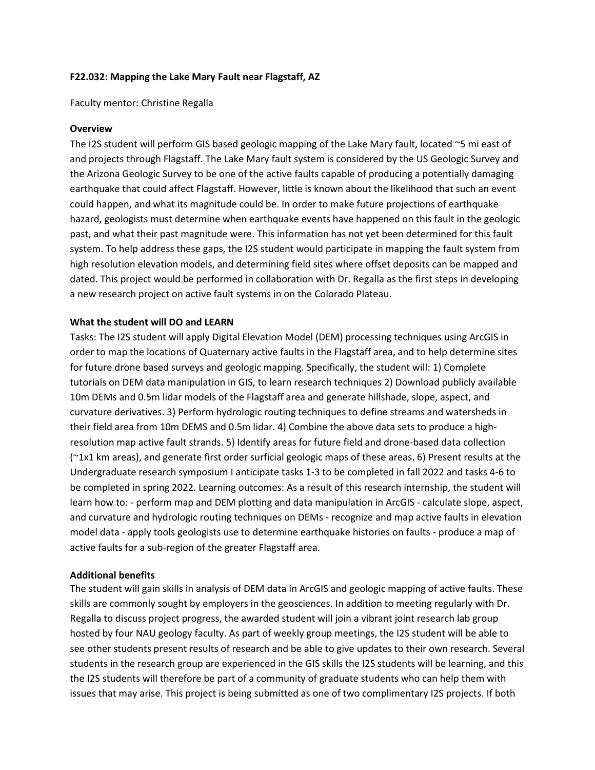# **F22.032: Mapping the Lake Mary Fault near Flagstaff, AZ**

Faculty mentor: Christine Regalla

## **Overview**

The I2S student will perform GIS based geologic mapping of the Lake Mary fault, located ~5 mi east of and projects through Flagstaff. The Lake Mary fault system is considered by the US Geologic Survey and the Arizona Geologic Survey to be one of the active faults capable of producing a potentially damaging earthquake that could affect Flagstaff. However, little is known about the likelihood that such an event could happen, and what its magnitude could be. In order to make future projections of earthquake hazard, geologists must determine when earthquake events have happened on this fault in the geologic past, and what their past magnitude were. This information has not yet been determined for this fault system. To help address these gaps, the I2S student would participate in mapping the fault system from high resolution elevation models, and determining field sites where offset deposits can be mapped and dated. This project would be performed in collaboration with Dr. Regalla as the first steps in developing a new research project on active fault systems in on the Colorado Plateau.

## **What the student will DO and LEARN**

Tasks: The I2S student will apply Digital Elevation Model (DEM) processing techniques using ArcGIS in order to map the locations of Quaternary active faults in the Flagstaff area, and to help determine sites for future drone based surveys and geologic mapping. Specifically, the student will: 1) Complete tutorials on DEM data manipulation in GIS, to learn research techniques 2) Download publicly available 10m DEMs and 0.5m lidar models of the Flagstaff area and generate hillshade, slope, aspect, and curvature derivatives. 3) Perform hydrologic routing techniques to define streams and watersheds in their field area from 10m DEMS and 0.5m lidar. 4) Combine the above data sets to produce a highresolution map active fault strands. 5) Identify areas for future field and drone-based data collection (~1x1 km areas), and generate first order surficial geologic maps of these areas. 6) Present results at the Undergraduate research symposium I anticipate tasks 1-3 to be completed in fall 2022 and tasks 4-6 to be completed in spring 2022. Learning outcomes: As a result of this research internship, the student will learn how to: - perform map and DEM plotting and data manipulation in ArcGIS - calculate slope, aspect, and curvature and hydrologic routing techniques on DEMs - recognize and map active faults in elevation model data - apply tools geologists use to determine earthquake histories on faults - produce a map of active faults for a sub-region of the greater Flagstaff area.

#### **Additional benefits**

The student will gain skills in analysis of DEM data in ArcGIS and geologic mapping of active faults. These skills are commonly sought by employers in the geosciences. In addition to meeting regularly with Dr. Regalla to discuss project progress, the awarded student will join a vibrant joint research lab group hosted by four NAU geology faculty. As part of weekly group meetings, the I2S student will be able to see other students present results of research and be able to give updates to their own research. Several students in the research group are experienced in the GIS skills the I2S students will be learning, and this the I2S students will therefore be part of a community of graduate students who can help them with issues that may arise. This project is being submitted as one of two complimentary I2S projects. If both